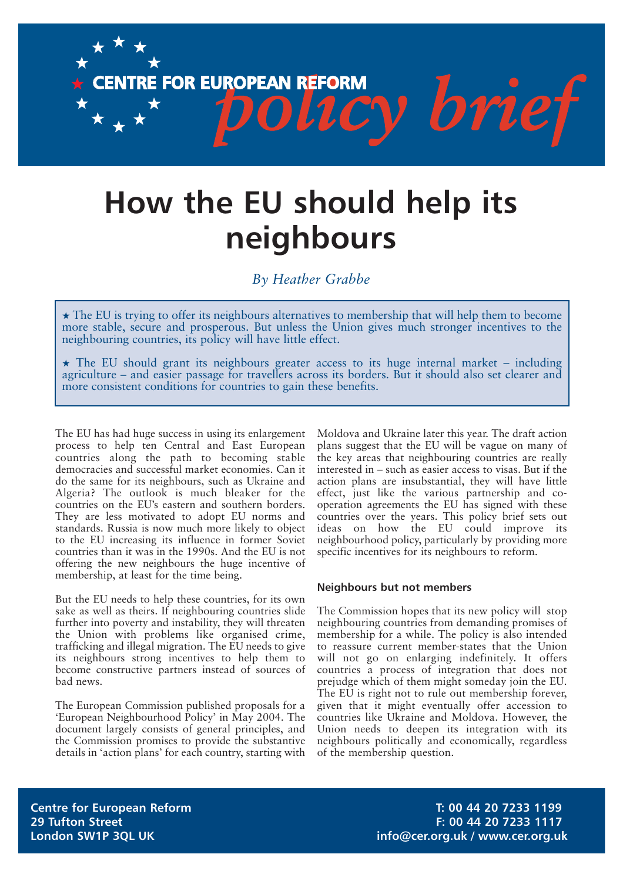CENTRE FOR EUROPEAN REFORM **COLLEY brief** 

# **How the EU should help its neighbours**

# *By Heather Grabbe*

 $\star$  The EU is trying to offer its neighbours alternatives to membership that will help them to become more stable, secure and prosperous. But unless the Union gives much stronger incentives to the neighbouring countries, its policy will have little effect.

 $\star$  The EU should grant its neighbours greater access to its huge internal market – including agriculture – and easier passage for travellers across its borders. But it should also set clearer and more consistent conditions for countries to gain these benefits.

The EU has had huge success in using its enlargement process to help ten Central and East European countries along the path to becoming stable democracies and successful market economies. Can it do the same for its neighbours, such as Ukraine and Algeria? The outlook is much bleaker for the countries on the EU's eastern and southern borders. They are less motivated to adopt EU norms and standards. Russia is now much more likely to object to the EU increasing its influence in former Soviet countries than it was in the 1990s. And the EU is not offering the new neighbours the huge incentive of membership, at least for the time being.

But the EU needs to help these countries, for its own sake as well as theirs. If neighbouring countries slide further into poverty and instability, they will threaten the Union with problems like organised crime, trafficking and illegal migration. The EU needs to give its neighbours strong incentives to help them to become constructive partners instead of sources of bad news.

The European Commission published proposals for a 'European Neighbourhood Policy' in May 2004. The document largely consists of general principles, and the Commission promises to provide the substantive details in 'action plans' for each country, starting with Moldova and Ukraine later this year. The draft action plans suggest that the EU will be vague on many of the key areas that neighbouring countries are really interested in – such as easier access to visas. But if the action plans are insubstantial, they will have little effect, just like the various partnership and cooperation agreements the EU has signed with these countries over the years. This policy brief sets out ideas on how the EU could improve its neighbourhood policy, particularly by providing more specific incentives for its neighbours to reform.

#### **Neighbours but not members**

The Commission hopes that its new policy will stop neighbouring countries from demanding promises of membership for a while. The policy is also intended to reassure current member-states that the Union will not go on enlarging indefinitely. It offers countries a process of integration that does not prejudge which of them might someday join the EU. The EU is right not to rule out membership forever, given that it might eventually offer accession to countries like Ukraine and Moldova. However, the Union needs to deepen its integration with its neighbours politically and economically, regardless of the membership question.

**Centre for European Reform T: 00 44 20 7233 1199 29 Tufton Street F: 00 44 20 7233 1117 London SW1P 3QL UK info@cer.org.uk / www.cer.org.uk**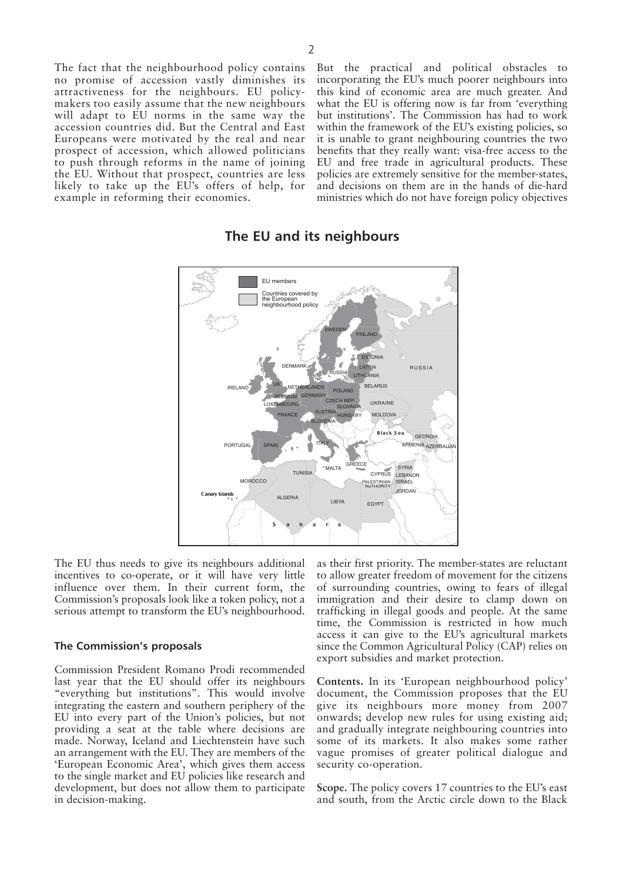The fact that the neighbourhood policy contains no promise of accession vastly diminishes its attractiveness for the neighbours. EU policymakers too easily assume that the new neighbours will adapt to EU norms in the same way the accession countries did. But the Central and East Europeans were motivated by the real and near prospect of accession, which allowed politicians to push through reforms in the name of joining the EU. Without that prospect, countries are less likely to take up the EU's offers of help, for example in reforming their economies.

But the practical and political obstacles to incorporating the EU's much poorer neighbours into this kind of economic area are much greater. And what the EU is offering now is far from 'everything but institutions'. The Commission has had to work within the framework of the EU's existing policies, so it is unable to grant neighbouring countries the two benefits that they really want: visa-free access to the EU and free trade in agricultural products. These policies are extremely sensitive for the member-states, and decisions on them are in the hands of die-hard ministries which do not have foreign policy objectives



# **The EU and its neighbours**

The EU thus needs to give its neighbours additional incentives to co-operate, or it will have very little influence over them. In their current form, the Commission's proposals look like a token policy, not a serious attempt to transform the EU's neighbourhood.

#### **The Commission's proposals**

Commission President Romano Prodi recommended last year that the EU should offer its neighbours "everything but institutions". This would involve integrating the eastern and southern periphery of the EU into every part of the Union's policies, but not providing a seat at the table where decisions are made. Norway, Iceland and Liechtenstein have such an arrangement with the EU. They are members of the 'European Economic Area', which gives them access to the single market and EU policies like research and development, but does not allow them to participate in decision-making.

as their first priority. The member-states are reluctant to allow greater freedom of movement for the citizens of surrounding countries, owing to fears of illegal immigration and their desire to clamp down on trafficking in illegal goods and people. At the same time, the Commission is restricted in how much access it can give to the EU's agricultural markets since the Common Agricultural Policy (CAP) relies on export subsidies and market protection.

**Contents.** In its 'European neighbourhood policy' document, the Commission proposes that the EU give its neighbours more money from 2007 onwards; develop new rules for using existing aid; and gradually integrate neighbouring countries into some of its markets. It also makes some rather vague promises of greater political dialogue and security co-operation.

**Scope.** The policy covers 17 countries to the EU's east and south, from the Arctic circle down to the Black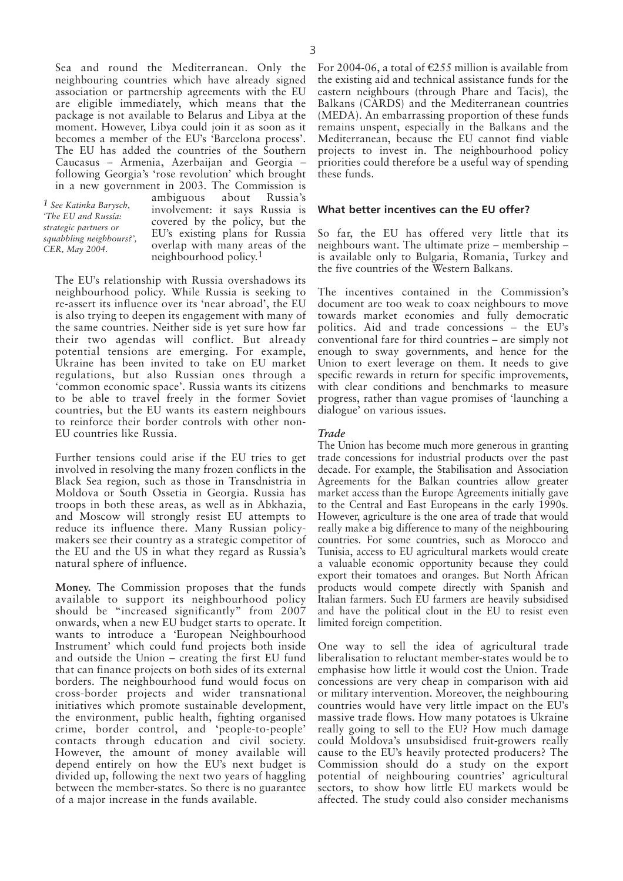Sea and round the Mediterranean. Only the neighbouring countries which have already signed association or partnership agreements with the EU are eligible immediately, which means that the package is not available to Belarus and Libya at the moment. However, Libya could join it as soon as it becomes a member of the EU's 'Barcelona process'. The EU has added the countries of the Southern Caucasus – Armenia, Azerbaijan and Georgia – following Georgia's 'rose revolution' which brought in a new government in 2003. The Commission is

*1 See Katinka Barysch, 'The EU and Russia: strategic partners or squabbling neighbours?', CER, May 2004.*

ambiguous about Russia's involvement: it says Russia is covered by the policy, but the EU's existing plans for Russia overlap with many areas of the neighbourhood policy.1

The EU's relationship with Russia overshadows its neighbourhood policy. While Russia is seeking to re-assert its influence over its 'near abroad', the EU is also trying to deepen its engagement with many of the same countries. Neither side is yet sure how far their two agendas will conflict. But already potential tensions are emerging. For example, Ukraine has been invited to take on EU market regulations, but also Russian ones through a 'common economic space'. Russia wants its citizens to be able to travel freely in the former Soviet countries, but the EU wants its eastern neighbours to reinforce their border controls with other non-EU countries like Russia.

Further tensions could arise if the EU tries to get involved in resolving the many frozen conflicts in the Black Sea region, such as those in Transdnistria in Moldova or South Ossetia in Georgia. Russia has troops in both these areas, as well as in Abkhazia, and Moscow will strongly resist EU attempts to reduce its influence there. Many Russian policymakers see their country as a strategic competitor of the EU and the US in what they regard as Russia's natural sphere of influence.

**Money.** The Commission proposes that the funds available to support its neighbourhood policy should be "increased significantly" from 2007 onwards, when a new EU budget starts to operate. It wants to introduce a 'European Neighbourhood Instrument' which could fund projects both inside and outside the Union – creating the first EU fund that can finance projects on both sides of its external borders. The neighbourhood fund would focus on cross-border projects and wider transnational initiatives which promote sustainable development, the environment, public health, fighting organised crime, border control, and 'people-to-people' contacts through education and civil society. However, the amount of money available will depend entirely on how the EU's next budget is divided up, following the next two years of haggling between the member-states. So there is no guarantee of a major increase in the funds available.

For 2004-06, a total of  $\epsilon$ 255 million is available from the existing aid and technical assistance funds for the eastern neighbours (through Phare and Tacis), the Balkans (CARDS) and the Mediterranean countries (MEDA). An embarrassing proportion of these funds remains unspent, especially in the Balkans and the Mediterranean, because the EU cannot find viable projects to invest in. The neighbourhood policy priorities could therefore be a useful way of spending these funds.

#### **What better incentives can the EU offer?**

So far, the EU has offered very little that its neighbours want. The ultimate prize – membership – is available only to Bulgaria, Romania, Turkey and the five countries of the Western Balkans.

The incentives contained in the Commission's document are too weak to coax neighbours to move towards market economies and fully democratic politics. Aid and trade concessions – the EU's conventional fare for third countries – are simply not enough to sway governments, and hence for the Union to exert leverage on them. It needs to give specific rewards in return for specific improvements, with clear conditions and benchmarks to measure progress, rather than vague promises of 'launching a dialogue' on various issues.

#### *Trade*

The Union has become much more generous in granting trade concessions for industrial products over the past decade. For example, the Stabilisation and Association Agreements for the Balkan countries allow greater market access than the Europe Agreements initially gave to the Central and East Europeans in the early 1990s. However, agriculture is the one area of trade that would really make a big difference to many of the neighbouring countries. For some countries, such as Morocco and Tunisia, access to EU agricultural markets would create a valuable economic opportunity because they could export their tomatoes and oranges. But North African products would compete directly with Spanish and Italian farmers. Such EU farmers are heavily subsidised and have the political clout in the EU to resist even limited foreign competition.

One way to sell the idea of agricultural trade liberalisation to reluctant member-states would be to emphasise how little it would cost the Union. Trade concessions are very cheap in comparison with aid or military intervention. Moreover, the neighbouring countries would have very little impact on the EU's massive trade flows. How many potatoes is Ukraine really going to sell to the EU? How much damage could Moldova's unsubsidised fruit-growers really cause to the EU's heavily protected producers? The Commission should do a study on the export potential of neighbouring countries' agricultural sectors, to show how little EU markets would be affected. The study could also consider mechanisms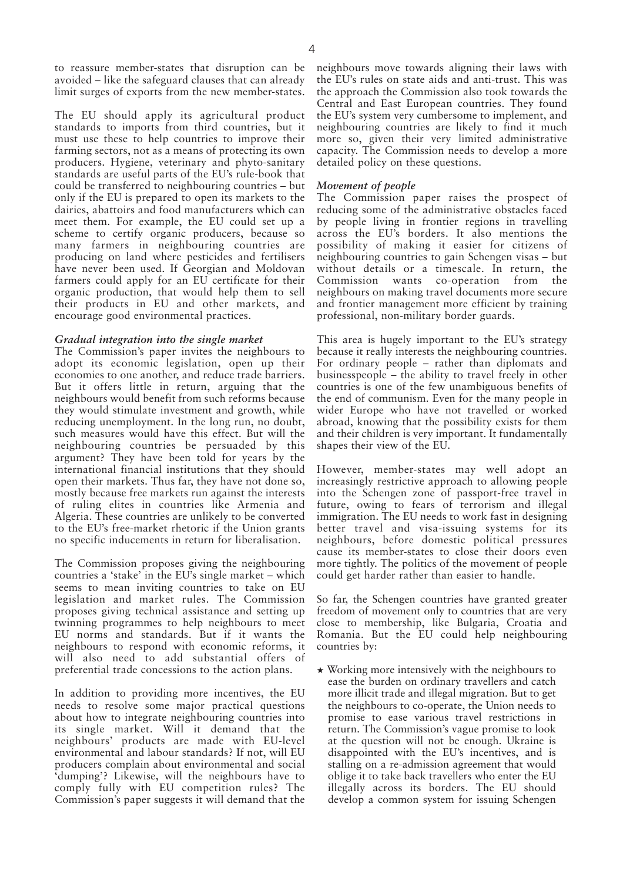to reassure member-states that disruption can be avoided – like the safeguard clauses that can already limit surges of exports from the new member-states.

The EU should apply its agricultural product standards to imports from third countries, but it must use these to help countries to improve their farming sectors, not as a means of protecting its own producers. Hygiene, veterinary and phyto-sanitary standards are useful parts of the EU's rule-book that could be transferred to neighbouring countries – but only if the EU is prepared to open its markets to the dairies, abattoirs and food manufacturers which can meet them. For example, the EU could set up a scheme to certify organic producers, because so many farmers in neighbouring countries are producing on land where pesticides and fertilisers have never been used. If Georgian and Moldovan farmers could apply for an EU certificate for their organic production, that would help them to sell their products in EU and other markets, and encourage good environmental practices.

#### *Gradual integration into the single market*

The Commission's paper invites the neighbours to adopt its economic legislation, open up their economies to one another, and reduce trade barriers. But it offers little in return, arguing that the neighbours would benefit from such reforms because they would stimulate investment and growth, while reducing unemployment. In the long run, no doubt, such measures would have this effect. But will the neighbouring countries be persuaded by this argument? They have been told for years by the international financial institutions that they should open their markets. Thus far, they have not done so, mostly because free markets run against the interests of ruling elites in countries like Armenia and Algeria. These countries are unlikely to be converted to the EU's free-market rhetoric if the Union grants no specific inducements in return for liberalisation.

The Commission proposes giving the neighbouring countries a 'stake' in the EU's single market – which seems to mean inviting countries to take on EU legislation and market rules. The Commission proposes giving technical assistance and setting up twinning programmes to help neighbours to meet EU norms and standards. But if it wants the neighbours to respond with economic reforms, it will also need to add substantial offers of preferential trade concessions to the action plans.

In addition to providing more incentives, the EU needs to resolve some major practical questions about how to integrate neighbouring countries into its single market. Will it demand that the neighbours' products are made with EU-level environmental and labour standards? If not, will EU producers complain about environmental and social 'dumping'? Likewise, will the neighbours have to comply fully with EU competition rules? The Commission's paper suggests it will demand that the

neighbours move towards aligning their laws with the EU's rules on state aids and anti-trust. This was the approach the Commission also took towards the Central and East European countries. They found the EU's system very cumbersome to implement, and neighbouring countries are likely to find it much more so, given their very limited administrative capacity. The Commission needs to develop a more detailed policy on these questions.

#### *Movement of people*

The Commission paper raises the prospect of reducing some of the administrative obstacles faced by people living in frontier regions in travelling across the EU's borders. It also mentions the possibility of making it easier for citizens of neighbouring countries to gain Schengen visas – but without details or a timescale. In return, the Commission wants co-operation from the neighbours on making travel documents more secure and frontier management more efficient by training professional, non-military border guards.

This area is hugely important to the EU's strategy because it really interests the neighbouring countries. For ordinary people – rather than diplomats and businesspeople – the ability to travel freely in other countries is one of the few unambiguous benefits of the end of communism. Even for the many people in wider Europe who have not travelled or worked abroad, knowing that the possibility exists for them and their children is very important. It fundamentally shapes their view of the EU.

However, member-states may well adopt an increasingly restrictive approach to allowing people into the Schengen zone of passport-free travel in future, owing to fears of terrorism and illegal immigration. The EU needs to work fast in designing better travel and visa-issuing systems for its neighbours, before domestic political pressures cause its member-states to close their doors even more tightly. The politics of the movement of people could get harder rather than easier to handle.

So far, the Schengen countries have granted greater freedom of movement only to countries that are very close to membership, like Bulgaria, Croatia and Romania. But the EU could help neighbouring countries by:

 $\star$  Working more intensively with the neighbours to ease the burden on ordinary travellers and catch more illicit trade and illegal migration. But to get the neighbours to co-operate, the Union needs to promise to ease various travel restrictions in return. The Commission's vague promise to look at the question will not be enough. Ukraine is disappointed with the EU's incentives, and is stalling on a re-admission agreement that would oblige it to take back travellers who enter the EU illegally across its borders. The EU should develop a common system for issuing Schengen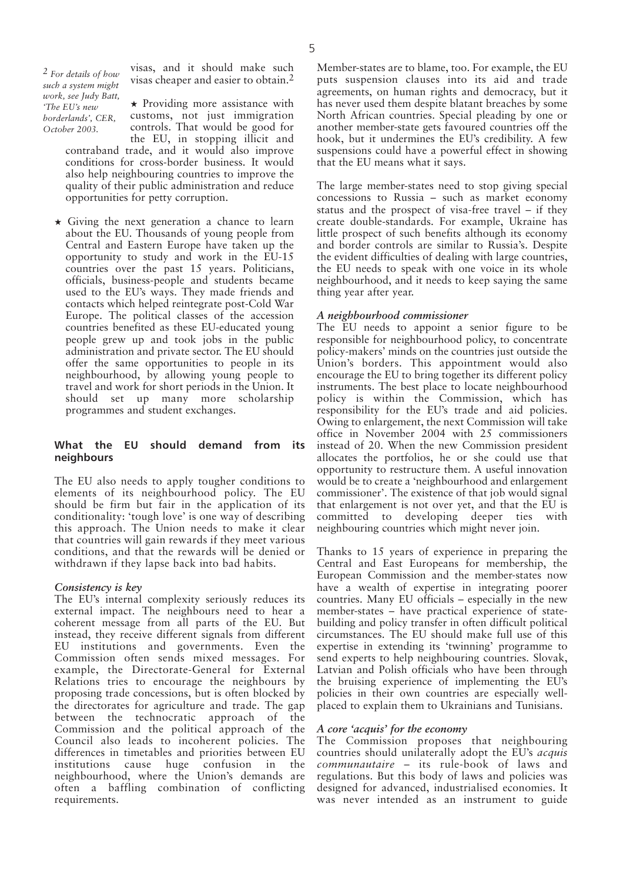*2 For details of how such a system might work, see Judy Batt, 'The EU's new borderlands', CER, October 2003.*

visas, and it should make such visas cheaper and easier to obtain.2

★ Providing more assistance with customs, not just immigration controls. That would be good for the EU, in stopping illicit and contraband trade, and it would also improve conditions for cross-border business. It would also help neighbouring countries to improve the quality of their public administration and reduce opportunities for petty corruption.

★ Giving the next generation a chance to learn about the EU. Thousands of young people from Central and Eastern Europe have taken up the opportunity to study and work in the EU-15 countries over the past 15 years. Politicians, officials, business-people and students became used to the EU's ways. They made friends and contacts which helped reintegrate post-Cold War Europe. The political classes of the accession countries benefited as these EU-educated young people grew up and took jobs in the public administration and private sector. The EU should offer the same opportunities to people in its neighbourhood, by allowing young people to travel and work for short periods in the Union. It should set up many more scholarship programmes and student exchanges.

### **What the EU should demand from its neighbours**

The EU also needs to apply tougher conditions to elements of its neighbourhood policy. The EU should be firm but fair in the application of its conditionality: 'tough love' is one way of describing this approach. The Union needs to make it clear that countries will gain rewards if they meet various conditions, and that the rewards will be denied or withdrawn if they lapse back into bad habits.

#### *Consistency is key*

The EU's internal complexity seriously reduces its external impact. The neighbours need to hear a coherent message from all parts of the EU. But instead, they receive different signals from different EU institutions and governments. Even the Commission often sends mixed messages. For example, the Directorate-General for External Relations tries to encourage the neighbours by proposing trade concessions, but is often blocked by the directorates for agriculture and trade. The gap between the technocratic approach of the Commission and the political approach of the Council also leads to incoherent policies. The differences in timetables and priorities between EU<br>institutions cause huge confusion in the institutions cause huge confusion in the neighbourhood, where the Union's demands are often a baffling combination of conflicting requirements.

Member-states are to blame, too. For example, the EU puts suspension clauses into its aid and trade agreements, on human rights and democracy, but it has never used them despite blatant breaches by some North African countries. Special pleading by one or another member-state gets favoured countries off the hook, but it undermines the EU's credibility. A few suspensions could have a powerful effect in showing that the EU means what it says.

The large member-states need to stop giving special concessions to Russia – such as market economy status and the prospect of visa-free travel – if they create double-standards. For example, Ukraine has little prospect of such benefits although its economy and border controls are similar to Russia's. Despite the evident difficulties of dealing with large countries, the EU needs to speak with one voice in its whole neighbourhood, and it needs to keep saying the same thing year after year.

### *A neighbourhood commissioner*

The EU needs to appoint a senior figure to be responsible for neighbourhood policy, to concentrate policy-makers' minds on the countries just outside the Union's borders. This appointment would also encourage the EU to bring together its different policy instruments. The best place to locate neighbourhood policy is within the Commission, which has responsibility for the EU's trade and aid policies. Owing to enlargement, the next Commission will take office in November 2004 with 25 commissioners instead of 20. When the new Commission president allocates the portfolios, he or she could use that opportunity to restructure them. A useful innovation would be to create a 'neighbourhood and enlargement commissioner'. The existence of that job would signal that enlargement is not over yet, and that the EU is committed to developing deeper ties with neighbouring countries which might never join.

Thanks to 15 years of experience in preparing the Central and East Europeans for membership, the European Commission and the member-states now have a wealth of expertise in integrating poorer countries. Many EU officials – especially in the new member-states – have practical experience of statebuilding and policy transfer in often difficult political circumstances. The EU should make full use of this expertise in extending its 'twinning' programme to send experts to help neighbouring countries. Slovak, Latvian and Polish officials who have been through the bruising experience of implementing the EU's policies in their own countries are especially wellplaced to explain them to Ukrainians and Tunisians.

## *A core 'acquis' for the economy*

The Commission proposes that neighbouring countries should unilaterally adopt the EU's *acquis communautaire* – its rule-book of laws and regulations. But this body of laws and policies was designed for advanced, industrialised economies. It was never intended as an instrument to guide